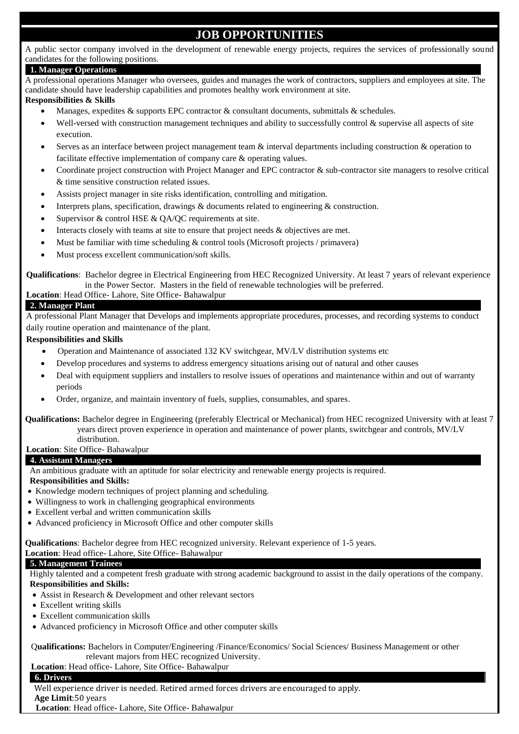# **JOB OPPORTUNITIES**

A public sector company involved in the development of renewable energy projects, requires the services of professionally sound candidates for the following positions.

#### **1. Manager Operations**

A professional operations Manager who oversees, guides and manages the work of contractors, suppliers and employees at site. The candidate should have leadership capabilities and promotes healthy work environment at site.

## **Responsibilities & Skills**

- Manages, expedites & supports EPC contractor & consultant documents, submittals & schedules.
- Well-versed with construction management techniques and ability to successfully control & supervise all aspects of site execution.
- Serves as an interface between project management team & interval departments including construction & operation to facilitate effective implementation of company care & operating values.
- Coordinate project construction with Project Manager and EPC contractor & sub-contractor site managers to resolve critical & time sensitive construction related issues.
- Assists project manager in site risks identification, controlling and mitigation.
- Interprets plans, specification, drawings & documents related to engineering & construction.
- Supervisor & control HSE & OA/OC requirements at site.
- Interacts closely with teams at site to ensure that project needs & objectives are met.
- Must be familiar with time scheduling & control tools (Microsoft projects / primavera)
- Must process excellent communication/soft skills.

**Qualifications**: Bachelor degree in Electrical Engineering from HEC Recognized University. At least 7 years of relevant experience in the Power Sector. Masters in the field of renewable technologies will be preferred.

## **Location**: Head Office- Lahore, Site Office- Bahawalpur

#### **2. Manager Plant**

A professional Plant Manager that Develops and implements appropriate procedures, processes, and recording systems to conduct daily routine operation and maintenance of the plant.

#### **Responsibilities and Skills**

- Operation and Maintenance of associated 132 KV switchgear, MV/LV distribution systems etc
- Develop procedures and systems to address emergency situations arising out of natural and other causes
- Deal with equipment suppliers and installers to resolve issues of operations and maintenance within and out of warranty periods
- Order, organize, and maintain inventory of fuels, supplies, consumables, and spares.

#### **Qualifications:** Bachelor degree in Engineering (preferably Electrical or Mechanical) from HEC recognized University with at least 7 years direct proven experience in operation and maintenance of power plants, switchgear and controls, MV/LV distribution.

#### **Location**: Site Office- Bahawalpur

#### **4. Assistant Managers**

An ambitious graduate with an aptitude for solar electricity and renewable energy projects is required.

## **Responsibilities and Skills:**

- Knowledge modern techniques of project planning and scheduling.
- Willingness to work in challenging geographical environments
- Excellent verbal and written communication skills
- Advanced proficiency in Microsoft Office and other computer skills

**Qualifications**: Bachelor degree from HEC recognized university. Relevant experience of 1-5 years.

#### **Location**: Head office- Lahore, Site Office- Bahawalpur

#### **5. Management Trainees**

Highly talented and a competent fresh graduate with strong academic background to assist in the daily operations of the company. **Responsibilities and Skills:**

- Assist in Research & Development and other relevant sectors
- Excellent writing skills
- Excellent communication skills
- Advanced proficiency in Microsoft Office and other computer skills

Q**ualifications:** Bachelors in Computer/Engineering /Finance/Economics/ Social Sciences/ Business Management or other relevant majors from HEC recognized University.

#### **Location**: Head office- Lahore, Site Office- Bahawalpur

#### **6. Drivers**

Well experience driver is needed. Retired armed forces drivers are encouraged to apply.

**Age Limit**:50 years

**Location**: Head office- Lahore, Site Office- Bahawalpur